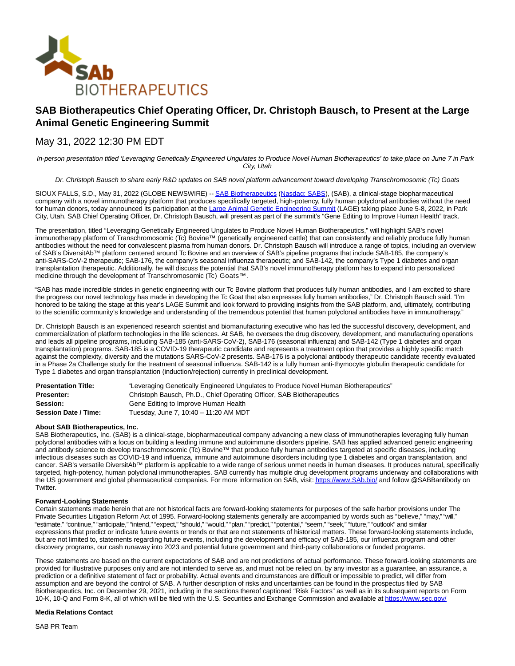

# **SAB Biotherapeutics Chief Operating Officer, Dr. Christoph Bausch, to Present at the Large Animal Genetic Engineering Summit**

## May 31, 2022 12:30 PM EDT

In-person presentation titled 'Leveraging Genetically Engineered Ungulates to Produce Novel Human Biotherapeutics' to take place on June 7 in Park City, Utah

Dr. Christoph Bausch to share early R&D updates on SAB novel platform advancement toward developing Transchromosomic (Tc) Goats

SIOUX FALLS, S.D., May 31, 2022 (GLOBE NEWSWIRE) -[- SAB Biotherapeutics](https://www.globenewswire.com/Tracker?data=Eecz9elweWRFxtWSq7eSYSWrORkkdsDI_kRZBgPiJ2JOQb81hGQ1Xa7deRsVpYSQLkvdNsvQUv2JF7zBIed0fg==) [\(Nasdaq: SABS\),](https://www.globenewswire.com/Tracker?data=2YLjV8db0fDsuauK9KgsiO4PjwlQzuTjdolJR8FVlBDyIScROGh6XvpqQtG-VXcnG9HXlIymubFwe8J8LXRfyHrxcCCUDuRvZIagcgK_-xXrTXmtraTAbe4cFyTotekW) (SAB), a clinical-stage biopharmaceutical company with a novel immunotherapy platform that produces specifically targeted, high-potency, fully human polyclonal antibodies without the need for human donors, today announced its participation at the [Large Animal Genetic Engineering Summit \(](https://www.globenewswire.com/Tracker?data=OYE6ykDz-b5p3FwdDQUNqhKsEaqgdx8a6OqMGTk3VGOYAb0XOFNaT8mEnlUUh-1Yo-8IkKfChAkN1_Ah6K8SK-NohOpIuOfYpssWDzZXKODaF_Ziar66LuGqj_WZLj6f)LAGE) taking place June 5-8, 2022, in Park City, Utah. SAB Chief Operating Officer, Dr. Christoph Bausch, will present as part of the summit's "Gene Editing to Improve Human Health" track.

The presentation, titled "Leveraging Genetically Engineered Ungulates to Produce Novel Human Biotherapeutics," will highlight SAB's novel immunotherapy platform of Transchromosomic (Tc) Bovine™ (genetically engineered cattle) that can consistently and reliably produce fully human antibodies without the need for convalescent plasma from human donors. Dr. Christoph Bausch will introduce a range of topics, including an overview of SAB's DiversitAb™ platform centered around Tc Bovine and an overview of SAB's pipeline programs that include SAB-185, the company's anti-SARS-CoV-2 therapeutic; SAB-176, the company's seasonal influenza therapeutic; and SAB-142, the company's Type 1 diabetes and organ transplantation therapeutic. Additionally, he will discuss the potential that SAB's novel immunotherapy platform has to expand into personalized medicine through the development of Transchromosomic (Tc) Goats™.

"SAB has made incredible strides in genetic engineering with our Tc Bovine platform that produces fully human antibodies, and I am excited to share the progress our novel technology has made in developing the Tc Goat that also expresses fully human antibodies," Dr. Christoph Bausch said. "I'm honored to be taking the stage at this year's LAGE Summit and look forward to providing insights from the SAB platform, and, ultimately, contributing to the scientific community's knowledge and understanding of the tremendous potential that human polyclonal antibodies have in immunotherapy."

Dr. Christoph Bausch is an experienced research scientist and biomanufacturing executive who has led the successful discovery, development, and commercialization of platform technologies in the life sciences. At SAB, he oversees the drug discovery, development, and manufacturing operations and leads all pipeline programs, including SAB-185 (anti-SARS-CoV-2), SAB-176 (seasonal influenza) and SAB-142 (Type 1 diabetes and organ transplantation) programs. SAB-185 is a COVID-19 therapeutic candidate and represents a treatment option that provides a highly specific match against the complexity, diversity and the mutations SARS-CoV-2 presents. SAB-176 is a polyclonal antibody therapeutic candidate recently evaluated in a Phase 2a Challenge study for the treatment of seasonal influenza. SAB-142 is a fully human anti-thymocyte globulin therapeutic candidate for Type 1 diabetes and organ transplantation (induction/rejection) currently in preclinical development.

| <b>Presentation Title:</b>  | "Leveraging Genetically Engineered Ungulates to Produce Novel Human Biotherapeutics" |
|-----------------------------|--------------------------------------------------------------------------------------|
| <b>Presenter:</b>           | Christoph Bausch, Ph.D., Chief Operating Officer, SAB Biotherapeutics                |
| Session:                    | Gene Editing to Improve Human Health                                                 |
| <b>Session Date / Time:</b> | Tuesday, June 7, 10:40 - 11:20 AM MDT                                                |

### **About SAB Biotherapeutics, Inc.**

SAB Biotherapeutics, Inc. (SAB) is a clinical-stage, biopharmaceutical company advancing a new class of immunotherapies leveraging fully human polyclonal antibodies with a focus on building a leading immune and autoimmune disorders pipeline. SAB has applied advanced genetic engineering and antibody science to develop transchromosomic (Tc) Bovine™ that produce fully human antibodies targeted at specific diseases, including infectious diseases such as COVID-19 and influenza, immune and autoimmune disorders including type 1 diabetes and organ transplantation, and cancer. SAB's versatile DiversitAb™ platform is applicable to a wide range of serious unmet needs in human diseases. It produces natural, specifically targeted, high-potency, human polyclonal immunotherapies. SAB currently has multiple drug development programs underway and collaborations with the US government and global pharmaceutical companies. For more information on SAB, visit[: https://www.SAb.bio/ a](https://www.globenewswire.com/Tracker?data=MuXc_JjNuG1YsdjcvKUja0LebX46c-VyROvs-3EfFAwPgJeTQ8jBPJ07SlhDlTthNBXNYieydzZPg55gxknHFg==)nd follow @SABBantibody on Twitter.

### **Forward-Looking Statements**

Certain statements made herein that are not historical facts are forward-looking statements for purposes of the safe harbor provisions under The Private Securities Litigation Reform Act of 1995. Forward-looking statements generally are accompanied by words such as "believe," "may," "will," "estimate," "continue," "anticipate," "intend," "expect," "should," "would," "plan," "predict," "potential," "seem," "seek," "future," "outlook" and similar expressions that predict or indicate future events or trends or that are not statements of historical matters. These forward-looking statements include, but are not limited to, statements regarding future events, including the development and efficacy of SAB-185, our influenza program and other discovery programs, our cash runaway into 2023 and potential future government and third-party collaborations or funded programs.

These statements are based on the current expectations of SAB and are not predictions of actual performance. These forward-looking statements are provided for illustrative purposes only and are not intended to serve as, and must not be relied on, by any investor as a guarantee, an assurance, a prediction or a definitive statement of fact or probability. Actual events and circumstances are difficult or impossible to predict, will differ from assumption and are beyond the control of SAB. A further description of risks and uncertainties can be found in the prospectus filed by SAB Biotherapeutics, Inc. on December 29, 2021, including in the sections thereof captioned "Risk Factors" as well as in its subsequent reports on Form 10-K, 10-Q and Form 8-K, all of which will be filed with the U.S. Securities and Exchange Commission and available a[t https://www.sec.gov/](https://www.globenewswire.com/Tracker?data=MuXc_JjNuG1YsdjcvKUjazJ6MJ0x02spcrjPn7SIeMUgitrZh_QEZoQRHs-qt8tcB3CXzXmJZfSgPD0nxWlanw==)

#### **Media Relations Contact**

SAB PR Team